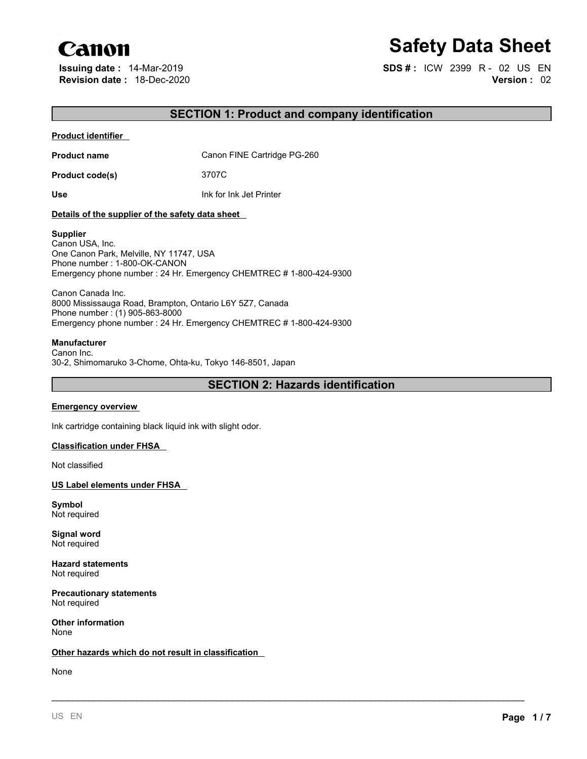# Canon

# **Safety Data Sheet**

**Issuing date :** 14-Mar-2019 **SDS # :** ICW 2399 R - 02 US EN **Revision date :** 18-Dec-2020 **Version :** 02

# **SECTION 1: Product and company identification**

### **Product identifier**

**Product name** Canon FINE Cartridge PG-260

**Product code(s)** 3707C

**Use** Ink for Ink Jet Printer

# **Details of the supplier of the safety data sheet**

# **Supplier**

Canon USA, Inc. One Canon Park, Melville, NY 11747, USA Phone number : 1-800-OK-CANON Emergency phone number : 24 Hr. Emergency CHEMTREC # 1-800-424-9300

Canon Canada Inc. 8000 Mississauga Road, Brampton, Ontario L6Y 5Z7, Canada Phone number : (1) 905-863-8000 Emergency phone number : 24 Hr. Emergency CHEMTREC # 1-800-424-9300

# **Manufacturer**

Canon Inc. 30-2, Shimomaruko 3-Chome, Ohta-ku, Tokyo 146-8501, Japan

# **SECTION 2: Hazards identification**

\_\_\_\_\_\_\_\_\_\_\_\_\_\_\_\_\_\_\_\_\_\_\_\_\_\_\_\_\_\_\_\_\_\_\_\_\_\_\_\_\_\_\_\_\_\_\_\_\_\_\_\_\_\_\_\_\_\_\_\_\_\_\_\_\_\_\_\_\_\_\_\_\_\_\_\_\_\_\_\_\_\_\_\_\_\_\_\_\_

# **Emergency overview**

Ink cartridge containing black liquid ink with slight odor.

# **Classification under FHSA**

Not classified

**US Label elements under FHSA**

**Symbol** Not required

**Signal word** Not required

**Hazard statements** Not required

**Precautionary statements** Not required

**Other information** None

# **Other hazards which do not result in classification**

None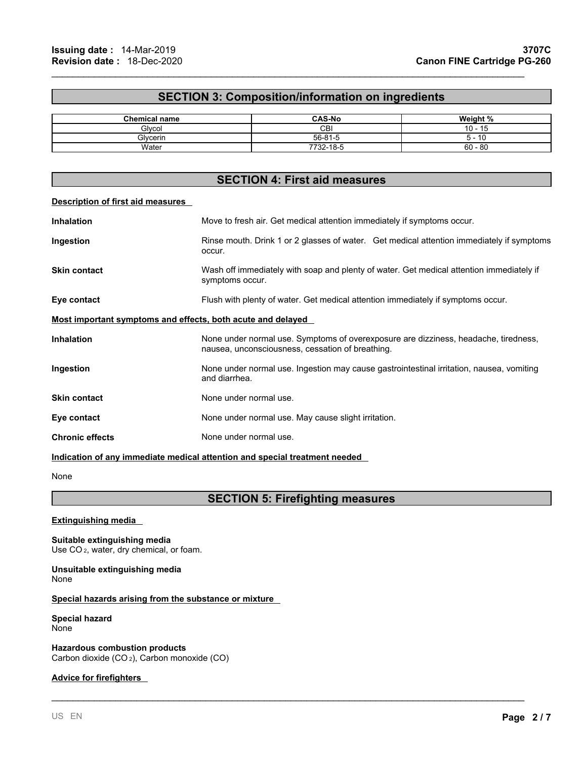# **SECTION 3: Composition/information on ingredients**

 $\mathcal{L}_\mathcal{L} = \mathcal{L}_\mathcal{L} = \mathcal{L}_\mathcal{L} = \mathcal{L}_\mathcal{L} = \mathcal{L}_\mathcal{L} = \mathcal{L}_\mathcal{L} = \mathcal{L}_\mathcal{L} = \mathcal{L}_\mathcal{L} = \mathcal{L}_\mathcal{L} = \mathcal{L}_\mathcal{L} = \mathcal{L}_\mathcal{L} = \mathcal{L}_\mathcal{L} = \mathcal{L}_\mathcal{L} = \mathcal{L}_\mathcal{L} = \mathcal{L}_\mathcal{L} = \mathcal{L}_\mathcal{L} = \mathcal{L}_\mathcal{L}$ 

| <b>Chemical name</b>  | <b>CAS-No</b>          | . <u>. .</u><br>Weight<br>- 70 |
|-----------------------|------------------------|--------------------------------|
| Glvco                 | СBI                    | 10                             |
| ົ<br>ilvcerin<br>יוכ. | $56 - 81 -$<br>-       | - 16                           |
| Water                 | $232 - 18 - 5$<br>フフへへ | $60 - 80$                      |

# **SECTION 4: First aid measures**

#### **Description of first aid measures**

| <b>Inhalation</b>                                           | Move to fresh air. Get medical attention immediately if symptoms occur.                                                                 |
|-------------------------------------------------------------|-----------------------------------------------------------------------------------------------------------------------------------------|
| Ingestion                                                   | Rinse mouth. Drink 1 or 2 glasses of water. Get medical attention immediately if symptoms<br>occur.                                     |
| <b>Skin contact</b>                                         | Wash off immediately with soap and plenty of water. Get medical attention immediately if<br>symptoms occur.                             |
| Eye contact                                                 | Flush with plenty of water. Get medical attention immediately if symptoms occur.                                                        |
| Most important symptoms and effects, both acute and delayed |                                                                                                                                         |
| <b>Inhalation</b>                                           | None under normal use. Symptoms of overexposure are dizziness, headache, tiredness,<br>nausea, unconsciousness, cessation of breathing. |
| Ingestion                                                   | None under normal use. Ingestion may cause gastrointestinal irritation, nausea, vomiting<br>and diarrhea.                               |
| <b>Skin contact</b>                                         | None under normal use.                                                                                                                  |
| Eye contact                                                 | None under normal use. May cause slight irritation.                                                                                     |
| <b>Chronic effects</b>                                      | None under normal use.                                                                                                                  |

**Indication of any immediate medical attention and special treatment needed**

None

# **SECTION 5: Firefighting measures**

\_\_\_\_\_\_\_\_\_\_\_\_\_\_\_\_\_\_\_\_\_\_\_\_\_\_\_\_\_\_\_\_\_\_\_\_\_\_\_\_\_\_\_\_\_\_\_\_\_\_\_\_\_\_\_\_\_\_\_\_\_\_\_\_\_\_\_\_\_\_\_\_\_\_\_\_\_\_\_\_\_\_\_\_\_\_\_\_\_

**Extinguishing media**

**Suitable extinguishing media** Use CO <sup>2</sup>, water, dry chemical, or foam.

**Unsuitable extinguishing media** None

# **Special hazards arising from the substance or mixture**

**Special hazard** None

**Hazardous combustion products** Carbon dioxide (CO <sup>2</sup>), Carbon monoxide (CO)

# **Advice for firefighters**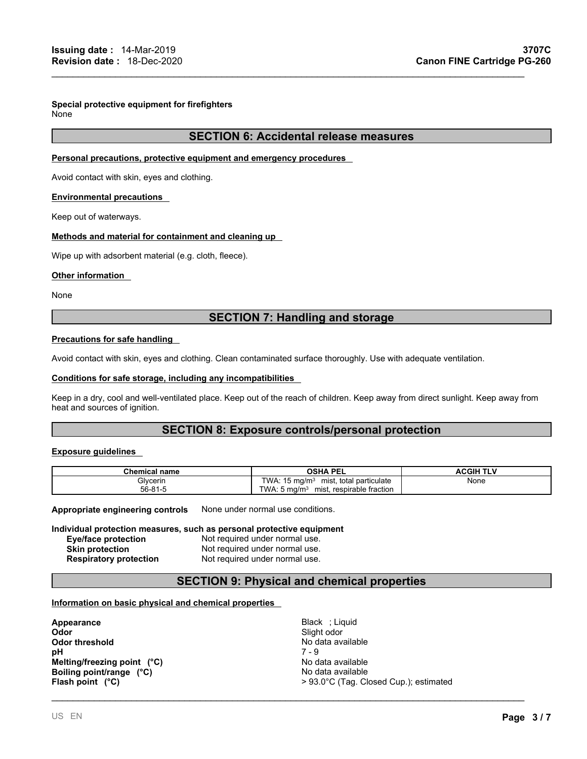# **Special protective equipment for firefighters**

None

# **SECTION 6: Accidental release measures**

 $\mathcal{L}_\mathcal{L} = \mathcal{L}_\mathcal{L} = \mathcal{L}_\mathcal{L} = \mathcal{L}_\mathcal{L} = \mathcal{L}_\mathcal{L} = \mathcal{L}_\mathcal{L} = \mathcal{L}_\mathcal{L} = \mathcal{L}_\mathcal{L} = \mathcal{L}_\mathcal{L} = \mathcal{L}_\mathcal{L} = \mathcal{L}_\mathcal{L} = \mathcal{L}_\mathcal{L} = \mathcal{L}_\mathcal{L} = \mathcal{L}_\mathcal{L} = \mathcal{L}_\mathcal{L} = \mathcal{L}_\mathcal{L} = \mathcal{L}_\mathcal{L}$ 

# **Personal precautions, protective equipment and emergency procedures**

Avoid contact with skin, eyes and clothing.

# **Environmental precautions**

Keep out of waterways.

# **Methods and material for containment and cleaning up**

Wipe up with adsorbent material (e.g. cloth, fleece).

# **Other information**

None

# **SECTION 7: Handling and storage**

# **Precautions for safe handling**

Avoid contact with skin, eyes and clothing. Clean contaminated surface thoroughly. Use with adequate ventilation.

#### **Conditions for safe storage, including any incompatibilities**

Keep in a dry, cool and well-ventilated place. Keep out of the reach of children. Keep away from direct sunlight. Keep away from heat and sources of ignition.

# **SECTION 8: Exposure controls/personal protection**

#### **Exposure guidelines**

| Chemical name | <b>OSHA PEI</b>                                              | <b>ACGIH TI <sup>v</sup></b> |
|---------------|--------------------------------------------------------------|------------------------------|
| Glycerin      | TWA.<br>total particulate<br>mist.<br>$15 \text{ ma/m}$      | None                         |
| 56-81-5       | TWA:<br>. respirable fraction<br>.5 mg/m $^{\circ}$<br>mist, |                              |

**Appropriate engineering controls** None under normal use conditions.

#### **Individual protection measures, such as personal protective equipment Eye/face protection** Not required under normal use. **Skin protection** Not required under normal use. **Respiratory protection** Not required under normal use.

# **SECTION 9: Physical and chemical properties**

# **Information on basic physical and chemical properties**

**Appearance** Black ; Liquid **Odor** Slight odor **Odor threshold** No d<br> **o**H 7 - 9 **pH** 7 - 9 **Melting/freezing point** (°C) Melting/freezing point (°C) **Boiling point/range (°C)**<br> **Flash point (°C)** No data available<br>  $>93.0$ °C (Tag. Cl

**Flash point (°C)**> 93.0°C (Tag. Closed Cup.); estimated

\_\_\_\_\_\_\_\_\_\_\_\_\_\_\_\_\_\_\_\_\_\_\_\_\_\_\_\_\_\_\_\_\_\_\_\_\_\_\_\_\_\_\_\_\_\_\_\_\_\_\_\_\_\_\_\_\_\_\_\_\_\_\_\_\_\_\_\_\_\_\_\_\_\_\_\_\_\_\_\_\_\_\_\_\_\_\_\_\_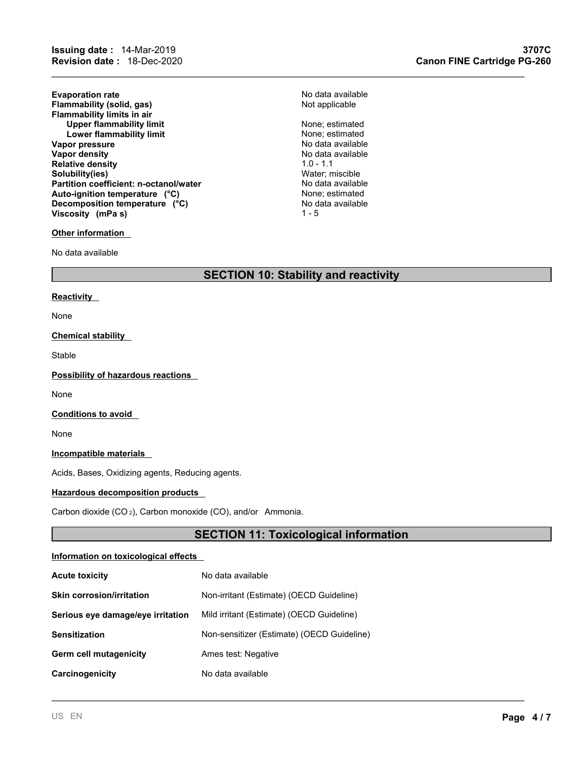**Evaporation rate**<br> **Example 31 Flammability (solid, gas)**<br> **Example 2018** Rot applicable **Flammability** (solid, gas) **Flammability limits in air Upper flammability limit** None; estimated **Lower flammability limit** None; estimated **Vapor pressure**<br> **Vapor density**<br> **Vapor density**<br> **Vapor density Relative density**<br> **Solubility(ies)**<br> **Solubility(ies) Solubility(ies)** Water; miscible **Partition coefficient: n-octanol/water** No data available<br> **Auto-ignition temperature** (°C) None; estimated Auto-ignition temperature (°C) <br>Decomposition temperature (°C) None; estimated None; estimated negative response to the control of the Decompo<br>No data available **Decomposition temperature** (°C) No data available No data available No data available No data available No data available No data available No data available No data available No data available No data available No data a **Viscosity** (mPa s)

# **Other information**

No data available

# **SECTION 10: Stability and reactivity**

#### **Reactivity**

None

### **Chemical stability**

Stable

**Possibility of hazardous reactions**

None

**Conditions to avoid**

None

**Incompatible materials**

Acids, Bases, Oxidizing agents, Reducing agents.

# **Hazardous decomposition products**

Carbon dioxide (CO <sup>2</sup>), Carbon monoxide (CO), and/or Ammonia.

# **SECTION 11: Toxicological information**

\_\_\_\_\_\_\_\_\_\_\_\_\_\_\_\_\_\_\_\_\_\_\_\_\_\_\_\_\_\_\_\_\_\_\_\_\_\_\_\_\_\_\_\_\_\_\_\_\_\_\_\_\_\_\_\_\_\_\_\_\_\_\_\_\_\_\_\_\_\_\_\_\_\_\_\_\_\_\_\_\_\_\_\_\_\_\_\_\_

# **Information on toxicological effects**

| <b>Acute toxicity</b>             | No data available                          |
|-----------------------------------|--------------------------------------------|
| <b>Skin corrosion/irritation</b>  | Non-irritant (Estimate) (OECD Guideline)   |
| Serious eye damage/eye irritation | Mild irritant (Estimate) (OECD Guideline)  |
| <b>Sensitization</b>              | Non-sensitizer (Estimate) (OECD Guideline) |
| Germ cell mutagenicity            | Ames test: Negative                        |
| Carcinogenicity                   | No data available                          |

 $\mathcal{L}_\mathcal{L} = \mathcal{L}_\mathcal{L} = \mathcal{L}_\mathcal{L} = \mathcal{L}_\mathcal{L} = \mathcal{L}_\mathcal{L} = \mathcal{L}_\mathcal{L} = \mathcal{L}_\mathcal{L} = \mathcal{L}_\mathcal{L} = \mathcal{L}_\mathcal{L} = \mathcal{L}_\mathcal{L} = \mathcal{L}_\mathcal{L} = \mathcal{L}_\mathcal{L} = \mathcal{L}_\mathcal{L} = \mathcal{L}_\mathcal{L} = \mathcal{L}_\mathcal{L} = \mathcal{L}_\mathcal{L} = \mathcal{L}_\mathcal{L}$ 

**No data available**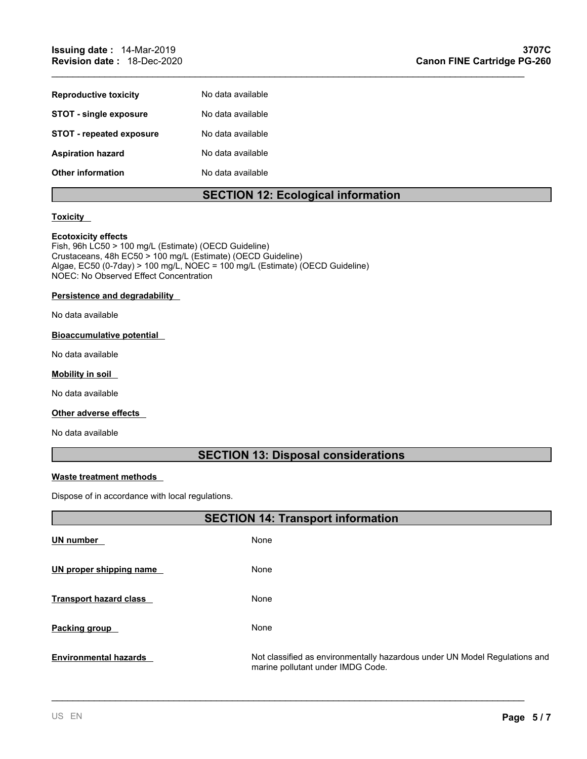| <b>Reproductive toxicity</b>    | No data available |
|---------------------------------|-------------------|
| <b>STOT - single exposure</b>   | No data available |
| <b>STOT - repeated exposure</b> | No data available |
| <b>Aspiration hazard</b>        | No data available |
| <b>Other information</b>        | No data available |

# **SECTION 12: Ecological information**

 $\mathcal{L}_\mathcal{L} = \mathcal{L}_\mathcal{L} = \mathcal{L}_\mathcal{L} = \mathcal{L}_\mathcal{L} = \mathcal{L}_\mathcal{L} = \mathcal{L}_\mathcal{L} = \mathcal{L}_\mathcal{L} = \mathcal{L}_\mathcal{L} = \mathcal{L}_\mathcal{L} = \mathcal{L}_\mathcal{L} = \mathcal{L}_\mathcal{L} = \mathcal{L}_\mathcal{L} = \mathcal{L}_\mathcal{L} = \mathcal{L}_\mathcal{L} = \mathcal{L}_\mathcal{L} = \mathcal{L}_\mathcal{L} = \mathcal{L}_\mathcal{L}$ 

# **Toxicity**

# **Ecotoxicity effects**

Fish, 96h LC50 > 100 mg/L (Estimate) (OECD Guideline) Crustaceans, 48h EC50 > 100 mg/L (Estimate) (OECD Guideline) Algae, EC50 (0-7day) > 100 mg/L, NOEC = 100 mg/L (Estimate) (OECD Guideline) NOEC: No Observed Effect Concentration

# **Persistence and degradability**

No data available

# **Bioaccumulative potential**

No data available

# **Mobility in soil**

No data available

# **Other adverse effects**

No data available

# **SECTION 13: Disposal considerations**

# **Waste treatment methods**

Dispose of in accordance with local regulations.

|                               | <b>SECTION 14: Transport information</b>                                                                        |  |
|-------------------------------|-----------------------------------------------------------------------------------------------------------------|--|
| <b>UN number</b>              | None                                                                                                            |  |
| UN proper shipping name       | None                                                                                                            |  |
| <b>Transport hazard class</b> | None                                                                                                            |  |
| Packing group                 | None                                                                                                            |  |
| <b>Environmental hazards</b>  | Not classified as environmentally hazardous under UN Model Regulations and<br>marine pollutant under IMDG Code. |  |

\_\_\_\_\_\_\_\_\_\_\_\_\_\_\_\_\_\_\_\_\_\_\_\_\_\_\_\_\_\_\_\_\_\_\_\_\_\_\_\_\_\_\_\_\_\_\_\_\_\_\_\_\_\_\_\_\_\_\_\_\_\_\_\_\_\_\_\_\_\_\_\_\_\_\_\_\_\_\_\_\_\_\_\_\_\_\_\_\_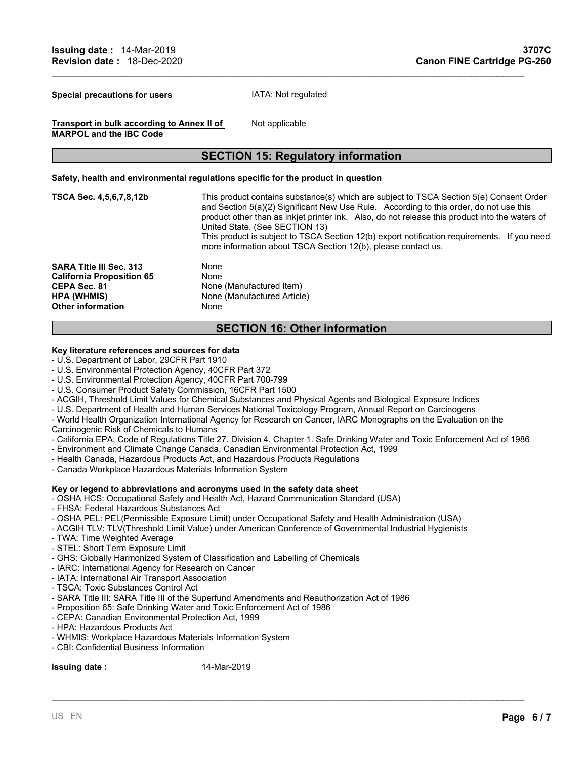**Special precautions for users** IATA: Not regulated

Not applicable

**Transport in bulk according to Annex II of MARPOL and the IBC Code**

# **SECTION 15: Regulatory information**

 $\mathcal{L}_\mathcal{L} = \mathcal{L}_\mathcal{L} = \mathcal{L}_\mathcal{L} = \mathcal{L}_\mathcal{L} = \mathcal{L}_\mathcal{L} = \mathcal{L}_\mathcal{L} = \mathcal{L}_\mathcal{L} = \mathcal{L}_\mathcal{L} = \mathcal{L}_\mathcal{L} = \mathcal{L}_\mathcal{L} = \mathcal{L}_\mathcal{L} = \mathcal{L}_\mathcal{L} = \mathcal{L}_\mathcal{L} = \mathcal{L}_\mathcal{L} = \mathcal{L}_\mathcal{L} = \mathcal{L}_\mathcal{L} = \mathcal{L}_\mathcal{L}$ 

#### **Safety, health and environmental regulations specific for the product in question**

| TSCA Sec. 4,5,6,7,8,12b                                                                                                              | This product contains substance(s) which are subject to TSCA Section 5(e) Consent Order<br>and Section 5(a)(2) Significant New Use Rule. According to this order, do not use this<br>product other than as inkjet printer ink. Also, do not release this product into the waters of<br>United State. (See SECTION 13) |
|--------------------------------------------------------------------------------------------------------------------------------------|-----------------------------------------------------------------------------------------------------------------------------------------------------------------------------------------------------------------------------------------------------------------------------------------------------------------------|
|                                                                                                                                      | This product is subject to TSCA Section 12(b) export notification requirements. If you need<br>more information about TSCA Section 12(b), please contact us.                                                                                                                                                          |
| <b>SARA Title III Sec. 313</b><br><b>California Proposition 65</b><br>CEPA Sec. 81<br><b>HPA (WHMIS)</b><br><b>Other information</b> | None<br>None<br>None (Manufactured Item)<br>None (Manufactured Article)<br>None                                                                                                                                                                                                                                       |

# **SECTION 16: Other information**

# **Key literature references and sources for data**

- U.S. Department of Labor, 29CFR Part 1910
- U.S. Environmental Protection Agency, 40CFR Part 372
- U.S. Environmental Protection Agency, 40CFR Part 700-799
- U.S. Consumer Product Safety Commission, 16CFR Part 1500
- ACGIH, Threshold Limit Values for Chemical Substances and Physical Agents and Biological Exposure Indices
- U.S. Department of Health and Human Services National Toxicology Program, Annual Report on Carcinogens
- World Health Organization International Agency for Research on Cancer, IARC Monographs on the Evaluation on the
- Carcinogenic Risk of Chemicals to Humans
- California EPA, Code of Regulations Title 27. Division 4. Chapter 1. Safe Drinking Water and Toxic Enforcement Act of 1986

\_\_\_\_\_\_\_\_\_\_\_\_\_\_\_\_\_\_\_\_\_\_\_\_\_\_\_\_\_\_\_\_\_\_\_\_\_\_\_\_\_\_\_\_\_\_\_\_\_\_\_\_\_\_\_\_\_\_\_\_\_\_\_\_\_\_\_\_\_\_\_\_\_\_\_\_\_\_\_\_\_\_\_\_\_\_\_\_\_

- Environment and Climate Change Canada, Canadian Environmental Protection Act, 1999
- Health Canada, Hazardous Products Act, and Hazardous Products Regulations
- Canada Workplace Hazardous Materials Information System

# **Key or legend to abbreviations and acronyms used in the safety data sheet**

- OSHA HCS: Occupational Safety and Health Act, Hazard Communication Standard (USA)
- FHSA: Federal Hazardous Substances Act
- OSHA PEL: PEL(Permissible Exposure Limit) under Occupational Safety and Health Administration (USA)
- ACGIH TLV: TLV(Threshold Limit Value) under American Conference of Governmental Industrial Hygienists
- TWA: Time Weighted Average
- STEL: Short Term Exposure Limit
- GHS: Globally Harmonized System of Classification and Labelling of Chemicals
- IARC: International Agency for Research on Cancer
- IATA: International Air Transport Association
- TSCA: Toxic Substances Control Act
- SARA Title III: SARA Title III of the Superfund Amendments and Reauthorization Act of 1986
- Proposition 65: Safe Drinking Water and Toxic Enforcement Act of 1986
- CEPA: Canadian Environmental Protection Act, 1999
- HPA: Hazardous Products Act
- WHMIS: Workplace Hazardous Materials Information System
- CBI: Confidential Business Information

**Issuing date :** 14-Mar-2019